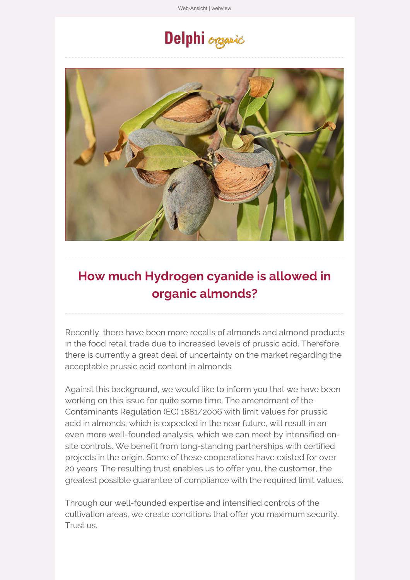[Web-Ansicht](https://ta37b2676.emailsys1a.net/mailing/36/5042585/0/86fa67d0eb/index.html) | webview

# Delphi organic



## **How much Hydrogen cyanide is allowed in organic almonds?**

Recently, there have been more recalls of almonds and almond products in the food retail trade due to increased levels of prussic acid. Therefore, there is currently a great deal of uncertainty on the market regarding the acceptable prussic acid content in almonds.

Against this background, we would like to inform you that we have been working on this issue for quite some time. The amendment of the Contaminants Regulation (EC) 1881/2006 with limit values for prussic acid in almonds, which is expected in the near future, will result in an even more well-founded analysis, which we can meet by intensified onsite controls. We benefit from long-standing partnerships with certified projects in the origin. Some of these cooperations have existed for over 20 years. The resulting trust enables us to offer you, the customer, the greatest possible guarantee of compliance with the required limit values.

Through our well-founded expertise and intensified controls of the cultivation areas, we create conditions that offer you maximum security. Trust us.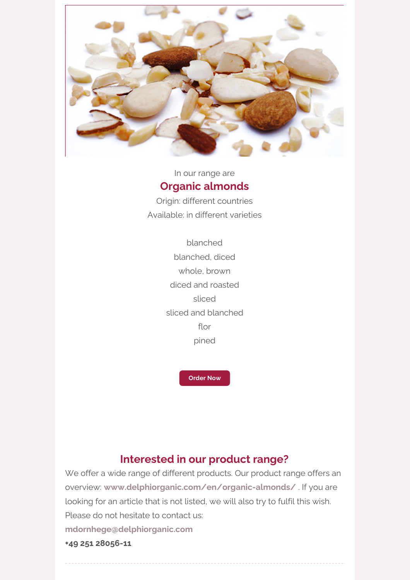

#### In our range are **Organic [almonds](file:///tmp/www.delphiorganic.com/en/organic-almonds/)**

Origin: different countries Available: in different varieties

> blanched blanched, diced whole, brown diced and roasted sliced sliced and blanched flor pined

> > **[Order](https://ta37b2676.emailsys1a.net/c/36/5042585/0/0/0/296485/7f59c89075.html) Now**

#### **Interested in our product range?**

We offer a wide range of different products. Our product range offers an overview: **[www.delphiorganic.com/en/organic-almonds/](https://ta37b2676.emailsys1a.net/c/36/5042585/0/0/0/296485/7f59c89075.html)** . If you are looking for an article that is not listed, we will also try to fulfil this wish. Please do not hesitate to contact us: **[mdornhege@delphiorganic.com](https://ta37b2676.emailsys1a.net/c/36/5042585/0/0/0/296491/b897917bb8.html) +49 251 28056-11**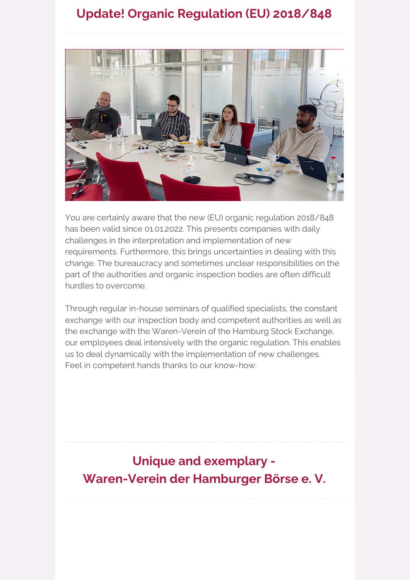### **Update! Organic Regulation (EU) 2018/848**



You are certainly aware that the new (EU) organic regulation 2018/848 has been valid since 01.01.2022. This presents companies with daily challenges in the interpretation and implementation of new requirements. Furthermore, this brings uncertainties in dealing with this change. The bureaucracy and sometimes unclear responsibilities on the part of the authorities and organic inspection bodies are often difficult hurdles to overcome.

Through regular in-house seminars of qualified specialists, the constant exchange with our inspection body and competent authorities as well as the exchange with the Waren-Verein of the Hamburg Stock Exchange, our employees deal intensively with the organic regulation. This enables us to deal dynamically with the implementation of new challenges. Feel in competent hands thanks to our know-how.

### **Unique and exemplary - Waren-Verein der Hamburger Börse e. V.**